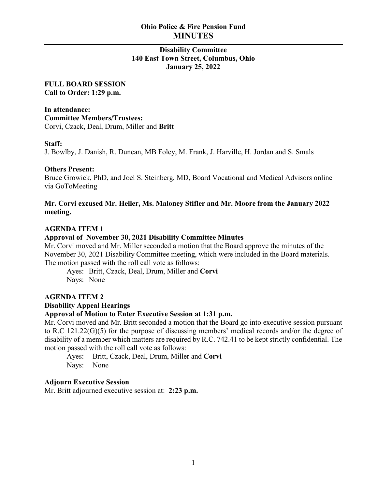# **Ohio Police & Fire Pension Fund MINUTES**

## **Disability Committee 140 East Town Street, Columbus, Ohio January 25, 2022**

**FULL BOARD SESSION Call to Order: 1:29 p.m.**

**In attendance: Committee Members/Trustees:** Corvi, Czack, Deal, Drum, Miller and **Britt**

### **Staff:**

J. Bowlby, J. Danish, R. Duncan, MB Foley, M. Frank, J. Harville, H. Jordan and S. Smals

#### **Others Present:**

Bruce Growick, PhD, and Joel S. Steinberg, MD, Board Vocational and Medical Advisors online via GoToMeeting

## **Mr. Corvi excused Mr. Heller, Ms. Maloney Stifler and Mr. Moore from the January 2022 meeting.**

## **AGENDA ITEM 1**

### **Approval of November 30, 2021 Disability Committee Minutes**

Mr. Corvi moved and Mr. Miller seconded a motion that the Board approve the minutes of the November 30, 2021 Disability Committee meeting, which were included in the Board materials. The motion passed with the roll call vote as follows:

Ayes: Britt, Czack, Deal, Drum, Miller and **Corvi** Nays: None

#### **AGENDA ITEM 2**

## **Disability Appeal Hearings**

### **Approval of Motion to Enter Executive Session at 1:31 p.m.**

Mr. Corvi moved and Mr. Britt seconded a motion that the Board go into executive session pursuant to R.C 121.22(G)(5) for the purpose of discussing members' medical records and/or the degree of disability of a member which matters are required by R.C. 742.41 to be kept strictly confidential. The motion passed with the roll call vote as follows:

Ayes: Britt, Czack, Deal, Drum, Miller and **Corvi** Nays: None

## **Adjourn Executive Session**

Mr. Britt adjourned executive session at: **2:23 p.m.**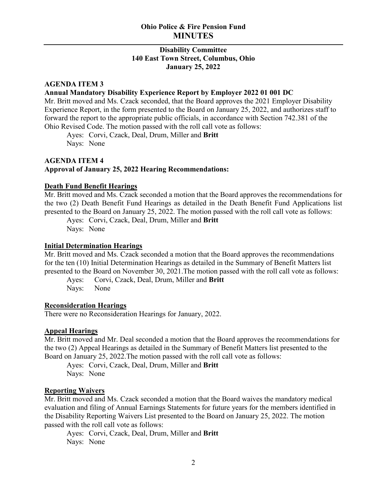## **Ohio Police & Fire Pension Fund MINUTES**

## **Disability Committee 140 East Town Street, Columbus, Ohio January 25, 2022**

### **AGENDA ITEM 3**

#### **Annual Mandatory Disability Experience Report by Employer 2022 01 001 DC**

Mr. Britt moved and Ms. Czack seconded, that the Board approves the 2021 Employer Disability Experience Report, in the form presented to the Board on January 25, 2022, and authorizes staff to forward the report to the appropriate public officials, in accordance with Section 742.381 of the Ohio Revised Code. The motion passed with the roll call vote as follows:

Ayes: Corvi, Czack, Deal, Drum, Miller and **Britt** Nays: None

## **AGENDA ITEM 4 Approval of January 25, 2022 Hearing Recommendations:**

## **Death Fund Benefit Hearings**

Mr. Britt moved and Ms. Czack seconded a motion that the Board approves the recommendations for the two (2) Death Benefit Fund Hearings as detailed in the Death Benefit Fund Applications list presented to the Board on January 25, 2022. The motion passed with the roll call vote as follows:

Ayes: Corvi, Czack, Deal, Drum, Miller and **Britt** Nays: None

### **Initial Determination Hearings**

Mr. Britt moved and Ms. Czack seconded a motion that the Board approves the recommendations for the ten (10) Initial Determination Hearings as detailed in the Summary of Benefit Matters list presented to the Board on November 30, 2021.The motion passed with the roll call vote as follows:

Ayes: Corvi, Czack, Deal, Drum, Miller and **Britt** Nays: None

#### **Reconsideration Hearings**

There were no Reconsideration Hearings for January, 2022.

## **Appeal Hearings**

Mr. Britt moved and Mr. Deal seconded a motion that the Board approves the recommendations for the two (2) Appeal Hearings as detailed in the Summary of Benefit Matters list presented to the Board on January 25, 2022.The motion passed with the roll call vote as follows:

Ayes: Corvi, Czack, Deal, Drum, Miller and **Britt** Nays: None

#### **Reporting Waivers**

Mr. Britt moved and Ms. Czack seconded a motion that the Board waives the mandatory medical evaluation and filing of Annual Earnings Statements for future years for the members identified in the Disability Reporting Waivers List presented to the Board on January 25, 2022. The motion passed with the roll call vote as follows:

Ayes: Corvi, Czack, Deal, Drum, Miller and **Britt** Nays: None